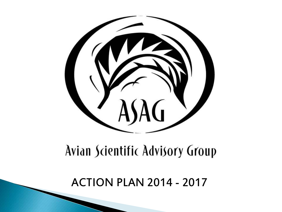

# Avian Scientific Advisory Group

ACTION PLAN 2014 - 2017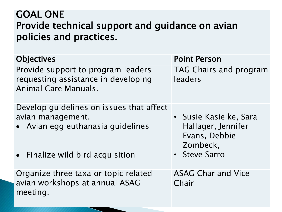#### GOAL ONE Provide technical support and guidance on avian policies and practices.

| <b>Objectives</b>                                                                                                                      | <b>Point Person</b>                                                                        |
|----------------------------------------------------------------------------------------------------------------------------------------|--------------------------------------------------------------------------------------------|
| Provide support to program leaders<br>requesting assistance in developing<br>Animal Care Manuals.                                      | <b>TAG Chairs and program</b><br>leaders                                                   |
| Develop guidelines on issues that affect<br>avian management.<br>• Avian egg euthanasia guidelines<br>• Finalize wild bird acquisition | • Susie Kasielke, Sara<br>Hallager, Jennifer<br>Evans, Debbie<br>Zombeck,<br>• Steve Sarro |
| Organize three taxa or topic related<br>avian workshops at annual ASAG<br>meeting.                                                     | <b>ASAG Char and Vice</b><br>Chair                                                         |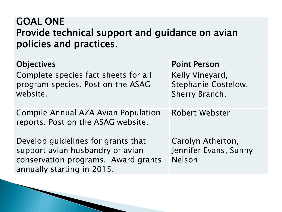## GOAL ONE Provide technical support and guidance on avian policies and practices.

| <b>Objectives</b>                                                                                                                           | <b>Point Person</b>                                             |
|---------------------------------------------------------------------------------------------------------------------------------------------|-----------------------------------------------------------------|
| Complete species fact sheets for all<br>program species. Post on the ASAG<br>website.                                                       | Kelly Vineyard,<br><b>Stephanie Costelow,</b><br>Sherry Branch. |
| <b>Compile Annual AZA Avian Population</b><br>reports. Post on the ASAG website.                                                            | <b>Robert Webster</b>                                           |
| Develop guidelines for grants that<br>support avian husbandry or avian<br>conservation programs. Award grants<br>annually starting in 2015. | Carolyn Atherton,<br>Jennifer Evans, Sunny<br>Nelson            |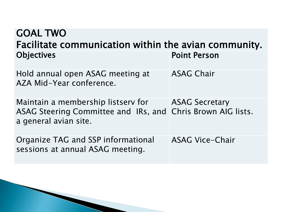| <b>GOAL TWO</b><br>Facilitate communication within the avian community.                                                    |                                  |  |
|----------------------------------------------------------------------------------------------------------------------------|----------------------------------|--|
| <b>Objectives</b>                                                                                                          | <b>Point Person</b>              |  |
| Hold annual open ASAG meeting at<br>AZA Mid-Year conference.                                                               | <b>ASAG Chair</b>                |  |
| Maintain a membership listserv for<br>ASAG Steering Committee and IRs, and Chris Brown AIG lists.<br>a general avian site. | <b>Example 25 ASAG Secretary</b> |  |
| Organize TAG and SSP informational<br>sessions at annual ASAG meeting.                                                     | <b>ASAG Vice-Chair</b>           |  |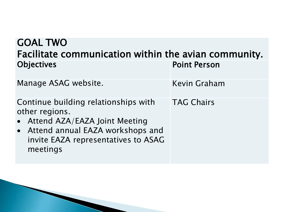| <b>GOAL TWO</b>                                                                                                                                                                    |                     |  |
|------------------------------------------------------------------------------------------------------------------------------------------------------------------------------------|---------------------|--|
| Facilitate communication within the avian community.                                                                                                                               |                     |  |
| <b>Objectives</b>                                                                                                                                                                  | <b>Point Person</b> |  |
| Manage ASAG website.                                                                                                                                                               | <b>Kevin Graham</b> |  |
| Continue building relationships with<br>other regions.<br>• Attend AZA/EAZA Joint Meeting<br>• Attend annual EAZA workshops and<br>invite EAZA representatives to ASAG<br>meetings | <b>TAG Chairs</b>   |  |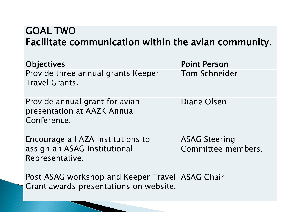## GOAL TWO Facilitate communication within the avian community.

| <b>Objectives</b>                                                                         | <b>Point Person</b>                        |
|-------------------------------------------------------------------------------------------|--------------------------------------------|
| Provide three annual grants Keeper<br><b>Travel Grants.</b>                               | <b>Tom Schneider</b>                       |
| Provide annual grant for avian<br>presentation at AAZK Annual<br>Conference.              | Diane Olsen                                |
| Encourage all AZA institutions to<br>assign an ASAG Institutional<br>Representative.      | <b>ASAG Steering</b><br>Committee members. |
| Post ASAG workshop and Keeper Travel ASAG Chair<br>Grant awards presentations on website. |                                            |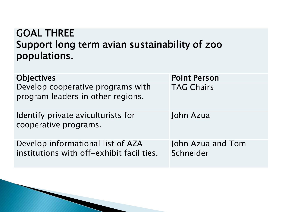## GOAL THREE Support long term avian sustainability of zoo populations.

| <b>Objectives</b>                                                              | <b>Point Person</b>            |
|--------------------------------------------------------------------------------|--------------------------------|
| Develop cooperative programs with<br>program leaders in other regions.         | <b>TAG Chairs</b>              |
| Identify private aviculturists for<br>cooperative programs.                    | John Azua                      |
| Develop informational list of AZA<br>institutions with off-exhibit facilities. | John Azua and Tom<br>Schneider |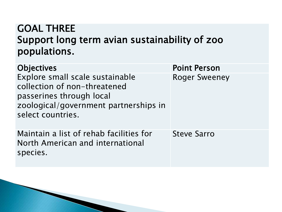## GOAL THREE Support long term avian sustainability of zoo populations.

| Objectives                                                                                                                                                | <b>Point Person</b>  |
|-----------------------------------------------------------------------------------------------------------------------------------------------------------|----------------------|
| Explore small scale sustainable<br>collection of non-threatened<br>passerines through local<br>zoological/government partnerships in<br>select countries. | <b>Roger Sweeney</b> |
| Maintain a list of rehab facilities for<br>North American and international<br>species.                                                                   | <b>Steve Sarro</b>   |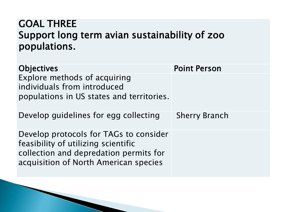## GOAL THREE Support long term avian sustainability of zoo populations.

| <b>Objectives</b>                                                                                                                                                | <b>Point Person</b>  |
|------------------------------------------------------------------------------------------------------------------------------------------------------------------|----------------------|
| Explore methods of acquiring<br>individuals from introduced<br>populations in US states and territories.                                                         |                      |
| Develop guidelines for egg collecting                                                                                                                            | <b>Sherry Branch</b> |
| Develop protocols for TAGs to consider<br>feasibility of utilizing scientific<br>collection and depredation permits for<br>acquisition of North American species |                      |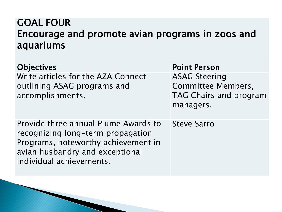## GOAL FOUR Encourage and promote avian programs in zoos and aquariums

Objectives and the contraction of the Point Person Write articles for the AZA Connect outlining ASAG programs and accomplishments.

Provide three annual Plume Awards to recognizing long-term propagation Programs, noteworthy achievement in avian husbandry and exceptional individual achievements.

ASAG Steering Committee Members, TAG Chairs and program managers.

Steve Sarro